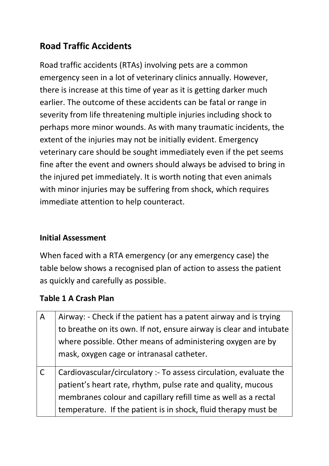# **Road Traffic Accidents**

Road traffic accidents (RTAs) involving pets are a common emergency seen in a lot of veterinary clinics annually. However, there is increase at this time of year as it is getting darker much earlier. The outcome of these accidents can be fatal or range in severity from life threatening multiple injuries including shock to perhaps more minor wounds. As with many traumatic incidents, the extent of the injuries may not be initially evident. Emergency veterinary care should be sought immediately even if the pet seems fine after the event and owners should always be advised to bring in the injured pet immediately. It is worth noting that even animals with minor injuries may be suffering from shock, which requires immediate attention to help counteract.

## **Initial Assessment**

When faced with a RTA emergency (or any emergency case) the table below shows a recognised plan of action to assess the patient as quickly and carefully as possible.

### **Table 1 A Crash Plan**

| $\overline{A}$ | Airway: - Check if the patient has a patent airway and is trying   |
|----------------|--------------------------------------------------------------------|
|                | to breathe on its own. If not, ensure airway is clear and intubate |
|                | where possible. Other means of administering oxygen are by         |
|                | mask, oxygen cage or intranasal catheter.                          |
|                | Cardiovascular/circulatory :- To assess circulation, evaluate the  |
|                | patient's heart rate, rhythm, pulse rate and quality, mucous       |
|                | membranes colour and capillary refill time as well as a rectal     |
|                | temperature. If the patient is in shock, fluid therapy must be     |
|                |                                                                    |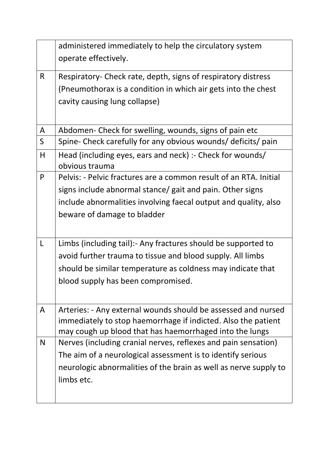|              | administered immediately to help the circulatory system                     |
|--------------|-----------------------------------------------------------------------------|
|              | operate effectively.                                                        |
| R            | Respiratory- Check rate, depth, signs of respiratory distress               |
|              | (Pneumothorax is a condition in which air gets into the chest               |
|              | cavity causing lung collapse)                                               |
|              |                                                                             |
| A            | Abdomen- Check for swelling, wounds, signs of pain etc                      |
| $\mathsf{S}$ | Spine- Check carefully for any obvious wounds/ deficits/ pain               |
| H            | Head (including eyes, ears and neck) :- Check for wounds/<br>obvious trauma |
| P            | Pelvis: - Pelvic fractures are a common result of an RTA. Initial           |
|              | signs include abnormal stance/ gait and pain. Other signs                   |
|              | include abnormalities involving faecal output and quality, also             |
|              | beware of damage to bladder                                                 |
|              |                                                                             |
| L            | Limbs (including tail): Any fractures should be supported to                |
|              | avoid further trauma to tissue and blood supply. All limbs                  |
|              | should be similar temperature as coldness may indicate that                 |
|              | blood supply has been compromised.                                          |
|              |                                                                             |
| A            | Arteries: - Any external wounds should be assessed and nursed               |
|              | immediately to stop haemorrhage if indicted. Also the patient               |
|              | may cough up blood that has haemorrhaged into the lungs                     |
| N            | Nerves (including cranial nerves, reflexes and pain sensation)              |
|              | The aim of a neurological assessment is to identify serious                 |
|              | neurologic abnormalities of the brain as well as nerve supply to            |
|              | limbs etc.                                                                  |
|              |                                                                             |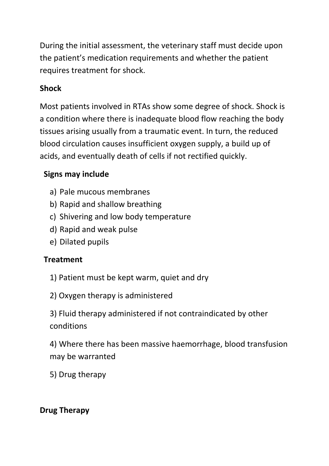During the initial assessment, the veterinary staff must decide upon the patient's medication requirements and whether the patient requires treatment for shock.

# **Shock**

Most patients involved in RTAs show some degree of shock. Shock is a condition where there is inadequate blood flow reaching the body tissues arising usually from a traumatic event. In turn, the reduced blood circulation causes insufficient oxygen supply, a build up of acids, and eventually death of cells if not rectified quickly.

# **Signs may include**

- a) Pale mucous membranes
- b) Rapid and shallow breathing
- c) Shivering and low body temperature
- d) Rapid and weak pulse
- e) Dilated pupils

### **Treatment**

- 1) Patient must be kept warm, quiet and dry
- 2) Oxygen therapy is administered

3) Fluid therapy administered if not contraindicated by other conditions

4) Where there has been massive haemorrhage, blood transfusion may be warranted

5) Drug therapy

## **Drug Therapy**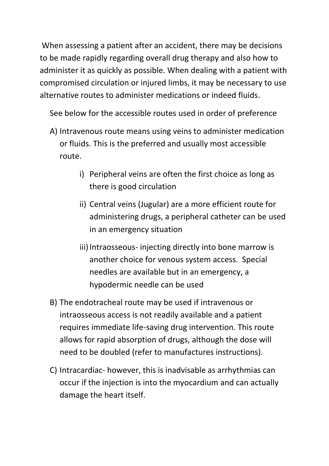When assessing a patient after an accident, there may be decisions to be made rapidly regarding overall drug therapy and also how to administer it as quickly as possible. When dealing with a patient with compromised circulation or injured limbs, it may be necessary to use alternative routes to administer medications or indeed fluids.

See below for the accessible routes used in order of preference

- A) Intravenous route means using veins to administer medication or fluids. This is the preferred and usually most accessible route.
	- i) Peripheral veins are often the first choice as long as there is good circulation
	- ii) Central veins (Jugular) are a more efficient route for administering drugs, a peripheral catheter can be used in an emergency situation
	- iii) Intraosseous- injecting directly into bone marrow is another choice for venous system access. Special needles are available but in an emergency, a hypodermic needle can be used
- B) The endotracheal route may be used if intravenous or intraosseous access is not readily available and a patient requires immediate life-saving drug intervention. This route allows for rapid absorption of drugs, although the dose will need to be doubled (refer to manufactures instructions).
- C) Intracardiac- however, this is inadvisable as arrhythmias can occur if the injection is into the myocardium and can actually damage the heart itself.